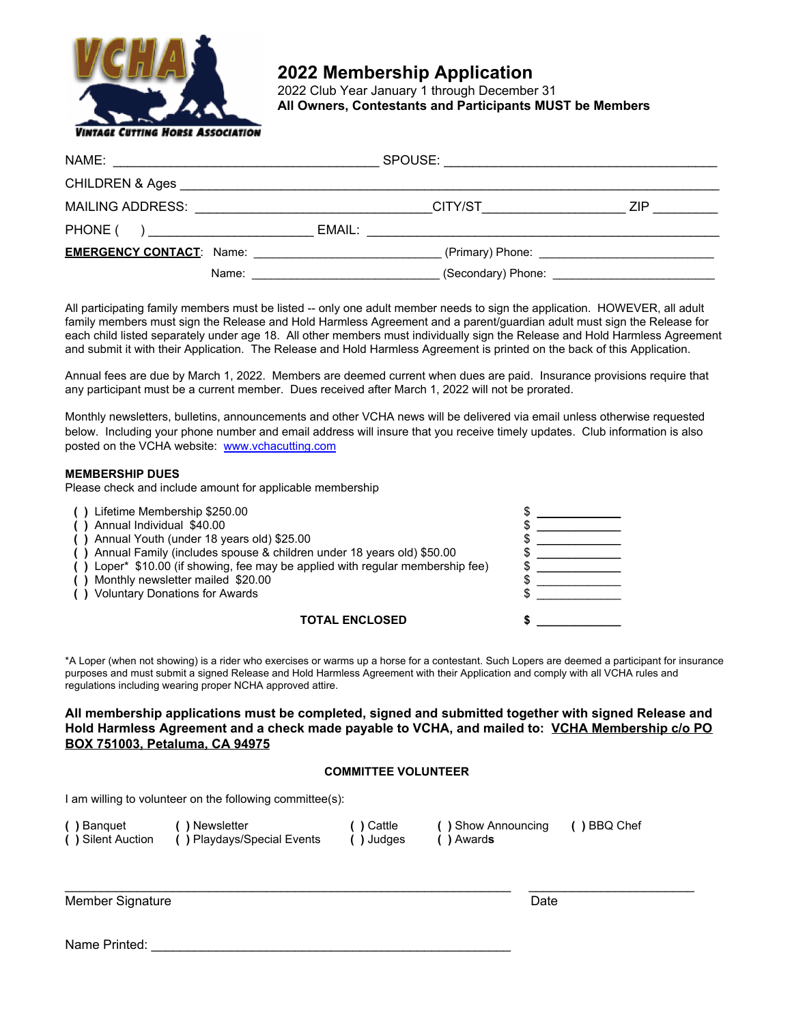

## **2022 Membership Application**

2022 Club Year January 1 through December 31 **All Owners, Contestants and Participants MUST be Members** 

| NAME:<br><u> 1980 - Andrea Andrew Maria (h. 1980).</u>         |                                                                                                                     |                                                                                                                                                                                                                                |  |
|----------------------------------------------------------------|---------------------------------------------------------------------------------------------------------------------|--------------------------------------------------------------------------------------------------------------------------------------------------------------------------------------------------------------------------------|--|
|                                                                |                                                                                                                     |                                                                                                                                                                                                                                |  |
| MAILING ADDRESS: University of Anti-                           | CITY/ST EXECUTIVE STATES AND THE STATES OF THE STATES OF THE STATES OF THE STATES OF THE STATES OF THE STATES       | ZIP.                                                                                                                                                                                                                           |  |
| PHONE (<br>) and the contract of the contract of $\mathcal{L}$ | EMAIL:                                                                                                              |                                                                                                                                                                                                                                |  |
|                                                                |                                                                                                                     | (Primary) Phone: example and the set of the set of the set of the set of the set of the set of the set of the set of the set of the set of the set of the set of the set of the set of the set of the set of the set of the se |  |
| Name:                                                          | <u>and the control of the control of the control of the control of the control of the control of the control of</u> | (Secondary) Phone: Secondary of the Secondary of the Secondary of the Secondary of the Secondary of the Secondary of the Secondary of the Secondary of the Secondary of the Secondary of the Secondary of the Secondary of the |  |

All participating family members must be listed -- only one adult member needs to sign the application. HOWEVER, all adult family members must sign the Release and Hold Harmless Agreement and a parent/guardian adult must sign the Release for each child listed separately under age 18. All other members must individually sign the Release and Hold Harmless Agreement and submit it with their Application. The Release and Hold Harmless Agreement is printed on the back of this Application.

Annual fees are due by March 1, 2022. Members are deemed current when dues are paid. Insurance provisions require that any participant must be a current member. Dues received after March 1, 2022 will not be prorated.

Monthly newsletters, bulletins, announcements and other VCHA news will be delivered via email unless otherwise requested below. Including your phone number and email address will insure that you receive timely updates. Club information is also posted on the VCHA website: [www.vchacutting.com](http://www.vchacutting.com/)

#### **MEMBERSHIP DUES**

Please check and include amount for applicable membership

| () Lifetime Membership \$250.00<br>() Annual Individual \$40.00                |  |
|--------------------------------------------------------------------------------|--|
| () Annual Youth (under 18 years old) \$25.00                                   |  |
| () Annual Family (includes spouse & children under 18 years old) \$50.00       |  |
| () Loper* \$10.00 (if showing, fee may be applied with regular membership fee) |  |
| () Monthly newsletter mailed \$20.00                                           |  |
| () Voluntary Donations for Awards                                              |  |
|                                                                                |  |
| TOTAL ENCLOSED                                                                 |  |

\*A Loper (when not showing) is a rider who exercises or warms up a horse for a contestant. Such Lopers are deemed a participant for insurance purposes and must submit a signed Release and Hold Harmless Agreement with their Application and comply with all VCHA rules and regulations including wearing proper NCHA approved attire.

#### **All membership applications must be completed, signed and submitted together with signed Release and Hold Harmless Agreement and a check made payable to VCHA, and mailed to: VCHA Membership c/o PO BOX 751003, Petaluma, CA 94975**

#### **COMMITTEE VOLUNTEER**

I am willing to volunteer on the following committee(s):

| ( ) Banquet       | ( ) Newsletter              | ( ) Cattle | ( ) Show Announcing | () BBQ Chef |
|-------------------|-----------------------------|------------|---------------------|-------------|
| () Silent Auction | ( ) Playdays/Special Events | ( ) Judges | ( ) Awards          |             |

 $\_$  , and the set of the set of the set of the set of the set of the set of the set of the set of the set of the set of the set of the set of the set of the set of the set of the set of the set of the set of the set of th

Member Signature Date

Name Printed: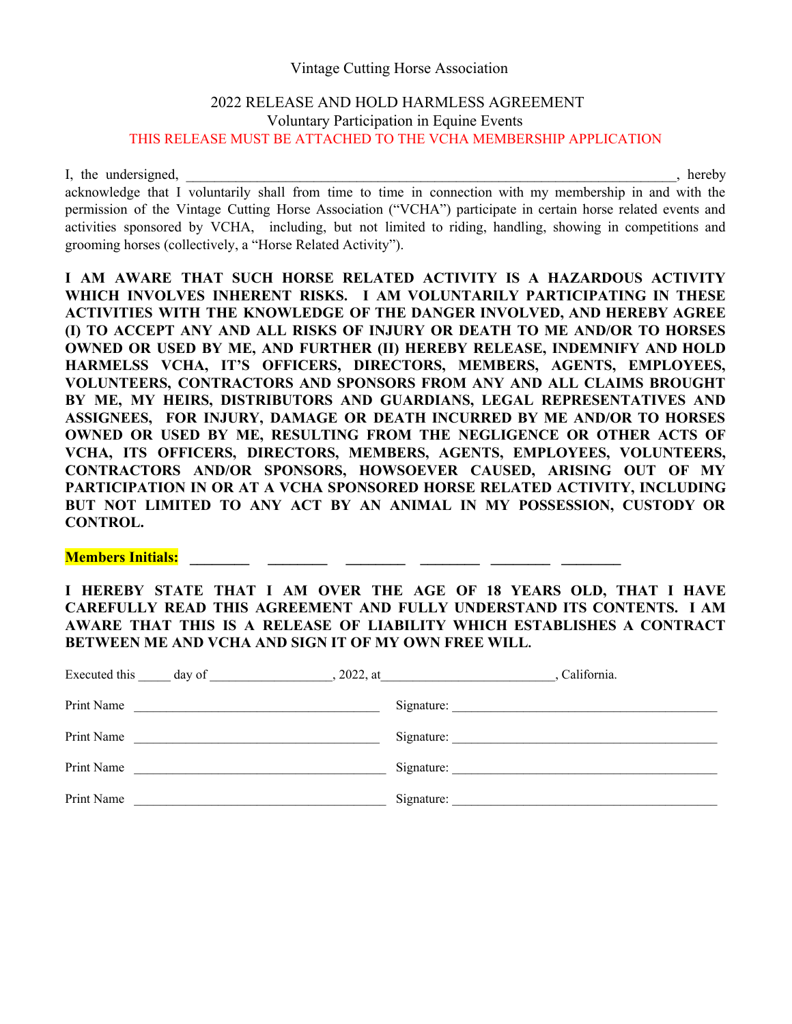### Vintage Cutting Horse Association

## 2022 RELEASE AND HOLD HARMLESS AGREEMENT Voluntary Participation in Equine Events THIS RELEASE MUST BE ATTACHED TO THE VCHA MEMBERSHIP APPLICATION

I, the undersigned, the undersigned,  $\blacksquare$ 

acknowledge that I voluntarily shall from time to time in connection with my membership in and with the permission of the Vintage Cutting Horse Association ("VCHA") participate in certain horse related events and activities sponsored by VCHA, including, but not limited to riding, handling, showing in competitions and grooming horses (collectively, a "Horse Related Activity").

**I AM AWARE THAT SUCH HORSE RELATED ACTIVITY IS A HAZARDOUS ACTIVITY WHICH INVOLVES INHERENT RISKS. I AM VOLUNTARILY PARTICIPATING IN THESE ACTIVITIES WITH THE KNOWLEDGE OF THE DANGER INVOLVED, AND HEREBY AGREE (I) TO ACCEPT ANY AND ALL RISKS OF INJURY OR DEATH TO ME AND/OR TO HORSES OWNED OR USED BY ME, AND FURTHER (II) HEREBY RELEASE, INDEMNIFY AND HOLD HARMELSS VCHA, IT'S OFFICERS, DIRECTORS, MEMBERS, AGENTS, EMPLOYEES, VOLUNTEERS, CONTRACTORS AND SPONSORS FROM ANY AND ALL CLAIMS BROUGHT BY ME, MY HEIRS, DISTRIBUTORS AND GUARDIANS, LEGAL REPRESENTATIVES AND ASSIGNEES, FOR INJURY, DAMAGE OR DEATH INCURRED BY ME AND/OR TO HORSES OWNED OR USED BY ME, RESULTING FROM THE NEGLIGENCE OR OTHER ACTS OF VCHA, ITS OFFICERS, DIRECTORS, MEMBERS, AGENTS, EMPLOYEES, VOLUNTEERS, CONTRACTORS AND/OR SPONSORS, HOWSOEVER CAUSED, ARISING OUT OF MY PARTICIPATION IN OR AT A VCHA SPONSORED HORSE RELATED ACTIVITY, INCLUDING BUT NOT LIMITED TO ANY ACT BY AN ANIMAL IN MY POSSESSION, CUSTODY OR CONTROL.**

# **Members Initials:** \_\_\_\_\_\_\_\_ \_\_\_\_\_\_\_\_\_ \_\_\_\_\_\_\_\_ \_\_\_\_\_\_\_\_ \_\_

**I HEREBY STATE THAT I AM OVER THE AGE OF 18 YEARS OLD, THAT I HAVE CAREFULLY READ THIS AGREEMENT AND FULLY UNDERSTAND ITS CONTENTS. I AM AWARE THAT THIS IS A RELEASE OF LIABILITY WHICH ESTABLISHES A CONTRACT BETWEEN ME AND VCHA AND SIGN IT OF MY OWN FREE WILL.** 

| Executed this |                                                                                                                     | California. |
|---------------|---------------------------------------------------------------------------------------------------------------------|-------------|
| Print Name    | <u> 1989 - Andrea Stadt Britain, amerikansk politiker (d. 1989)</u>                                                 | Signature:  |
| Print Name    | <u> 1980 - Johann Stein, mars an deutscher Stein (</u>                                                              |             |
| Print Name    | <u>and the control of the control of the control of the control of the control of the control of the control of</u> |             |
| Print Name    | the control of the control of the control of the                                                                    |             |